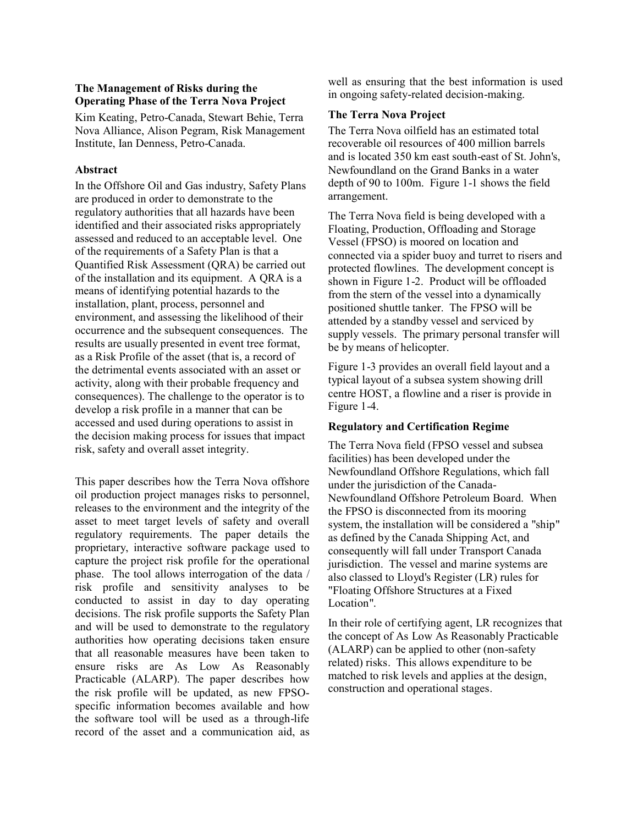#### **The Management of Risks during the Operating Phase of the Terra Nova Project**

Kim Keating, Petro-Canada, Stewart Behie, Terra Nova Alliance, Alison Pegram, Risk Management Institute, Ian Denness, Petro-Canada.

## **Abstract**

In the Offshore Oil and Gas industry, Safety Plans are produced in order to demonstrate to the regulatory authorities that all hazards have been identified and their associated risks appropriately assessed and reduced to an acceptable level. One of the requirements of a Safety Plan is that a Quantified Risk Assessment (QRA) be carried out of the installation and its equipment. A QRA is a means of identifying potential hazards to the installation, plant, process, personnel and environment, and assessing the likelihood of their occurrence and the subsequent consequences. The results are usually presented in event tree format, as a Risk Profile of the asset (that is, a record of the detrimental events associated with an asset or activity, along with their probable frequency and consequences). The challenge to the operator is to develop a risk profile in a manner that can be accessed and used during operations to assist in the decision making process for issues that impact risk, safety and overall asset integrity.

This paper describes how the Terra Nova offshore oil production project manages risks to personnel, releases to the environment and the integrity of the asset to meet target levels of safety and overall regulatory requirements. The paper details the proprietary, interactive software package used to capture the project risk profile for the operational phase. The tool allows interrogation of the data / risk profile and sensitivity analyses to be conducted to assist in day to day operating decisions. The risk profile supports the Safety Plan and will be used to demonstrate to the regulatory authorities how operating decisions taken ensure that all reasonable measures have been taken to ensure risks are As Low As Reasonably Practicable (ALARP). The paper describes how the risk profile will be updated, as new FPSOspecific information becomes available and how the software tool will be used as a through-life record of the asset and a communication aid, as well as ensuring that the best information is used in ongoing safety-related decision-making.

## **The Terra Nova Project**

The Terra Nova oilfield has an estimated total recoverable oil resources of 400 million barrels and is located 350 km east south-east of St. John's, Newfoundland on the Grand Banks in a water depth of 90 to 100m. Figure 1-1 shows the field arrangement.

The Terra Nova field is being developed with a Floating, Production, Offloading and Storage Vessel (FPSO) is moored on location and connected via a spider buoy and turret to risers and protected flowlines. The development concept is shown in Figure 1-2. Product will be offloaded from the stern of the vessel into a dynamically positioned shuttle tanker. The FPSO will be attended by a standby vessel and serviced by supply vessels. The primary personal transfer will be by means of helicopter.

Figure 1-3 provides an overall field layout and a typical layout of a subsea system showing drill centre HOST, a flowline and a riser is provide in Figure 1-4.

# **Regulatory and Certification Regime**

The Terra Nova field (FPSO vessel and subsea facilities) has been developed under the Newfoundland Offshore Regulations, which fall under the jurisdiction of the Canada-Newfoundland Offshore Petroleum Board. When the FPSO is disconnected from its mooring system, the installation will be considered a "ship" as defined by the Canada Shipping Act, and consequently will fall under Transport Canada jurisdiction. The vessel and marine systems are also classed to Lloyd's Register (LR) rules for "Floating Offshore Structures at a Fixed Location".

In their role of certifying agent, LR recognizes that the concept of As Low As Reasonably Practicable (ALARP) can be applied to other (non-safety related) risks. This allows expenditure to be matched to risk levels and applies at the design, construction and operational stages.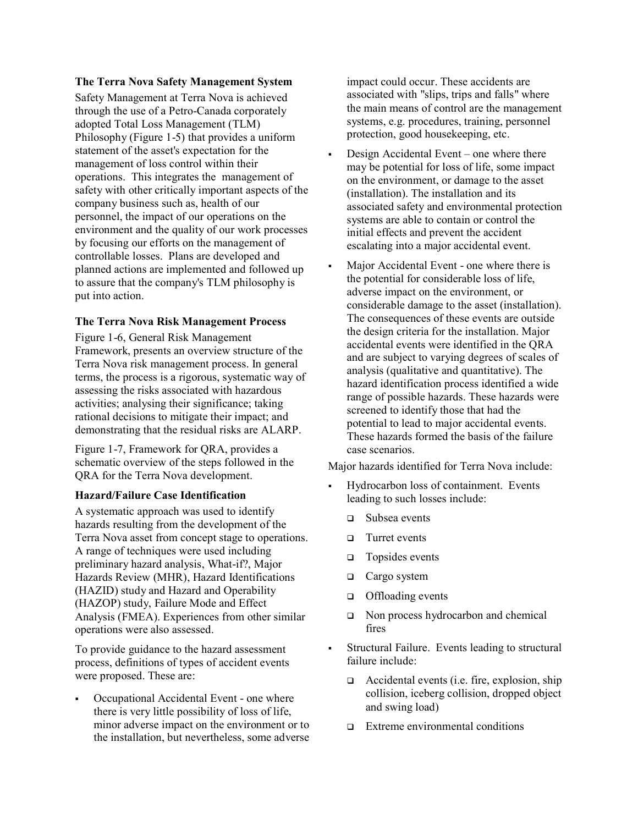#### **The Terra Nova Safety Management System**

Safety Management at Terra Nova is achieved through the use of a Petro-Canada corporately adopted Total Loss Management (TLM) Philosophy (Figure 1-5) that provides a uniform statement of the asset's expectation for the management of loss control within their operations. This integrates the management of safety with other critically important aspects of the company business such as, health of our personnel, the impact of our operations on the environment and the quality of our work processes by focusing our efforts on the management of controllable losses. Plans are developed and planned actions are implemented and followed up to assure that the company's TLM philosophy is put into action.

#### **The Terra Nova Risk Management Process**

Figure 1-6, General Risk Management Framework, presents an overview structure of the Terra Nova risk management process. In general terms, the process is a rigorous, systematic way of assessing the risks associated with hazardous activities; analysing their significance; taking rational decisions to mitigate their impact; and demonstrating that the residual risks are ALARP.

Figure 1-7, Framework for QRA, provides a schematic overview of the steps followed in the QRA for the Terra Nova development.

#### **Hazard/Failure Case Identification**

A systematic approach was used to identify hazards resulting from the development of the Terra Nova asset from concept stage to operations. A range of techniques were used including preliminary hazard analysis, What-if?, Major Hazards Review (MHR), Hazard Identifications (HAZID) study and Hazard and Operability (HAZOP) study, Failure Mode and Effect Analysis (FMEA). Experiences from other similar operations were also assessed.

To provide guidance to the hazard assessment process, definitions of types of accident events were proposed. These are:

 Occupational Accidental Event - one where there is very little possibility of loss of life, minor adverse impact on the environment or to the installation, but nevertheless, some adverse impact could occur. These accidents are associated with "slips, trips and falls" where the main means of control are the management systems, e.g. procedures, training, personnel protection, good housekeeping, etc.

- Design Accidental Event one where there may be potential for loss of life, some impact on the environment, or damage to the asset (installation). The installation and its associated safety and environmental protection systems are able to contain or control the initial effects and prevent the accident escalating into a major accidental event.
- Major Accidental Event one where there is the potential for considerable loss of life, adverse impact on the environment, or considerable damage to the asset (installation). The consequences of these events are outside the design criteria for the installation. Major accidental events were identified in the QRA and are subject to varying degrees of scales of analysis (qualitative and quantitative). The hazard identification process identified a wide range of possible hazards. These hazards were screened to identify those that had the potential to lead to major accidental events. These hazards formed the basis of the failure case scenarios.

Major hazards identified for Terra Nova include:

- Hydrocarbon loss of containment. Events leading to such losses include:
	- Subsea events
	- □ Turret events
	- $\Box$  Topsides events
	- $\Box$  Cargo system
	- □ Offloading events
	- Non process hydrocarbon and chemical fires
- Structural Failure. Events leading to structural failure include:
	- $\Box$  Accidental events (i.e. fire, explosion, ship collision, iceberg collision, dropped object and swing load)
	- $\Box$  Extreme environmental conditions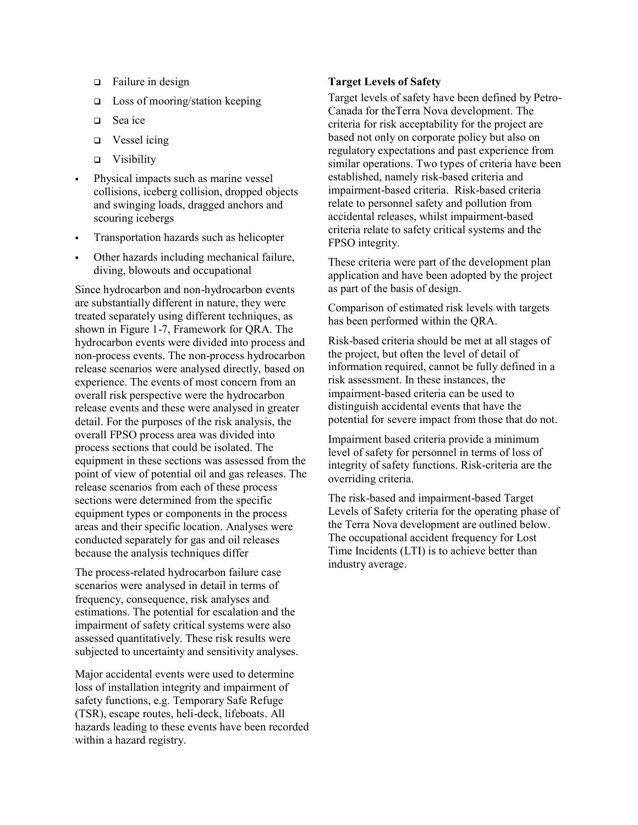- □ Failure in design
- $\Box$  Loss of mooring/station keeping
- □ Sea ice
- $\Box$  Vessel icing
- Visibility
- Physical impacts such as marine vessel collisions, iceberg collision, dropped objects and swinging loads, dragged anchors and scouring icebergs
- Transportation hazards such as helicopter
- Other hazards including mechanical failure, diving, blowouts and occupational

Since hydrocarbon and non-hydrocarbon events are substantially different in nature, they were treated separately using different techniques, as shown in Figure 1-7, Framework for QRA. The hydrocarbon events were divided into process and non-process events. The non-process hydrocarbon release scenarios were analysed directly, based on experience. The events of most concern from an overall risk perspective were the hydrocarbon release events and these were analysed in greater detail. For the purposes of the risk analysis, the overall FPSO process area was divided into process sections that could be isolated. The equipment in these sections was assessed from the point of view of potential oil and gas releases. The release scenarios from each of these process sections were determined from the specific equipment types or components in the process areas and their specific location. Analyses were conducted separately for gas and oil releases because the analysis techniques differ

The process-related hydrocarbon failure case scenarios were analysed in detail in terms of frequency, consequence, risk analyses and estimations. The potential for escalation and the impairment of safety critical systems were also assessed quantitatively. These risk results were subjected to uncertainty and sensitivity analyses.

Major accidental events were used to determine loss of installation integrity and impairment of safety functions, e.g. Temporary Safe Refuge (TSR), escape routes, heli-deck, lifeboats. All hazards leading to these events have been recorded within a hazard registry.

#### **Target Levels of Safety**

Target levels of safety have been defined by Petro-Canada for theTerra Nova development. The criteria for risk acceptability for the project are based not only on corporate policy but also on regulatory expectations and past experience from similar operations. Two types of criteria have been established, namely risk-based criteria and impairment-based criteria. Risk-based criteria relate to personnel safety and pollution from accidental releases, whilst impairment-based criteria relate to safety critical systems and the FPSO integrity.

These criteria were part of the development plan application and have been adopted by the project as part of the basis of design.

Comparison of estimated risk levels with targets has been performed within the QRA.

Risk-based criteria should be met at all stages of the project, but often the level of detail of information required, cannot be fully defined in a risk assessment. In these instances, the impairment-based criteria can be used to distinguish accidental events that have the potential for severe impact from those that do not.

Impairment based criteria provide a minimum level of safety for personnel in terms of loss of integrity of safety functions. Risk-criteria are the overriding criteria.

The risk-based and impairment-based Target Levels of Safety criteria for the operating phase of the Terra Nova development are outlined below. The occupational accident frequency for Lost Time Incidents (LTI) is to achieve better than industry average.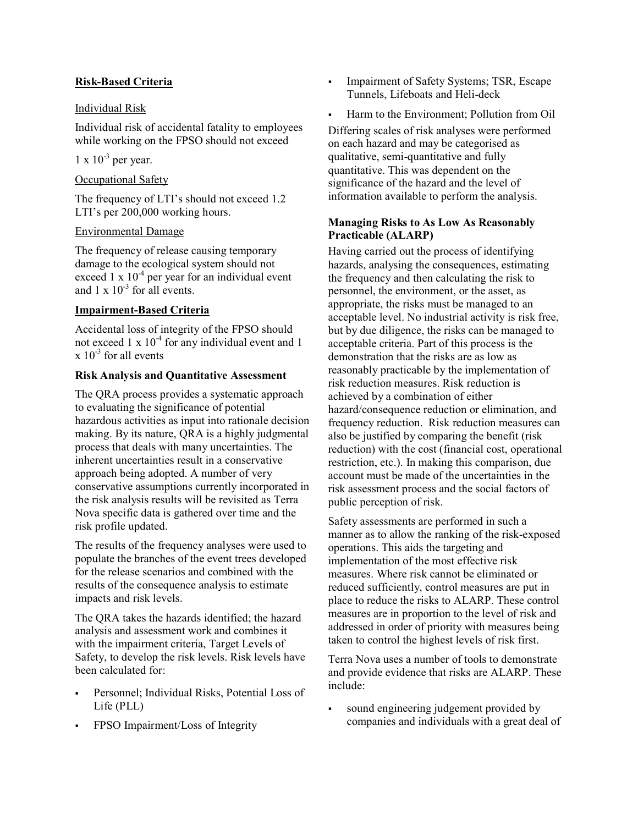## **Risk-Based Criteria**

### Individual Risk

Individual risk of accidental fatality to employees while working on the FPSO should not exceed

# $1 \times 10^{-3}$  per year.

## Occupational Safety

The frequency of LTI's should not exceed 1.2 LTI's per 200,000 working hours.

## Environmental Damage

The frequency of release causing temporary damage to the ecological system should not exceed 1 x  $10^{-4}$  per year for an individual event and  $1 \times 10^{-3}$  for all events.

## **Impairment-Based Criteria**

Accidental loss of integrity of the FPSO should not exceed 1 x  $10^{-4}$  for any individual event and 1  $x 10^{-3}$  for all events

## **Risk Analysis and Quantitative Assessment**

The QRA process provides a systematic approach to evaluating the significance of potential hazardous activities as input into rationale decision making. By its nature, QRA is a highly judgmental process that deals with many uncertainties. The inherent uncertainties result in a conservative approach being adopted. A number of very conservative assumptions currently incorporated in the risk analysis results will be revisited as Terra Nova specific data is gathered over time and the risk profile updated.

The results of the frequency analyses were used to populate the branches of the event trees developed for the release scenarios and combined with the results of the consequence analysis to estimate impacts and risk levels.

The QRA takes the hazards identified; the hazard analysis and assessment work and combines it with the impairment criteria, Target Levels of Safety, to develop the risk levels. Risk levels have been calculated for:

- Personnel; Individual Risks, Potential Loss of Life (PLL)
- FPSO Impairment/Loss of Integrity
- Impairment of Safety Systems; TSR, Escape Tunnels, Lifeboats and Heli-deck
- Harm to the Environment; Pollution from Oil

Differing scales of risk analyses were performed on each hazard and may be categorised as qualitative, semi-quantitative and fully quantitative. This was dependent on the significance of the hazard and the level of information available to perform the analysis.

## **Managing Risks to As Low As Reasonably Practicable (ALARP)**

Having carried out the process of identifying hazards, analysing the consequences, estimating the frequency and then calculating the risk to personnel, the environment, or the asset, as appropriate, the risks must be managed to an acceptable level. No industrial activity is risk free, but by due diligence, the risks can be managed to acceptable criteria. Part of this process is the demonstration that the risks are as low as reasonably practicable by the implementation of risk reduction measures. Risk reduction is achieved by a combination of either hazard/consequence reduction or elimination, and frequency reduction. Risk reduction measures can also be justified by comparing the benefit (risk reduction) with the cost (financial cost, operational restriction, etc.). In making this comparison, due account must be made of the uncertainties in the risk assessment process and the social factors of public perception of risk.

Safety assessments are performed in such a manner as to allow the ranking of the risk-exposed operations. This aids the targeting and implementation of the most effective risk measures. Where risk cannot be eliminated or reduced sufficiently, control measures are put in place to reduce the risks to ALARP. These control measures are in proportion to the level of risk and addressed in order of priority with measures being taken to control the highest levels of risk first.

Terra Nova uses a number of tools to demonstrate and provide evidence that risks are ALARP. These include:

 sound engineering judgement provided by companies and individuals with a great deal of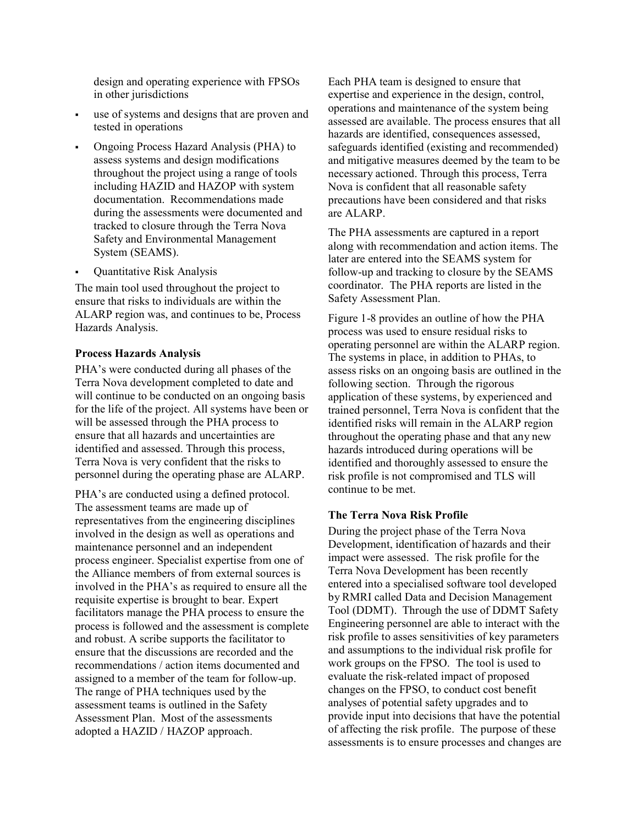design and operating experience with FPSOs in other jurisdictions

- use of systems and designs that are proven and tested in operations
- Ongoing Process Hazard Analysis (PHA) to assess systems and design modifications throughout the project using a range of tools including HAZID and HAZOP with system documentation. Recommendations made during the assessments were documented and tracked to closure through the Terra Nova Safety and Environmental Management System (SEAMS).
- Quantitative Risk Analysis

The main tool used throughout the project to ensure that risks to individuals are within the ALARP region was, and continues to be, Process Hazards Analysis.

#### **Process Hazards Analysis**

PHA's were conducted during all phases of the Terra Nova development completed to date and will continue to be conducted on an ongoing basis for the life of the project. All systems have been or will be assessed through the PHA process to ensure that all hazards and uncertainties are identified and assessed. Through this process, Terra Nova is very confident that the risks to personnel during the operating phase are ALARP.

PHA's are conducted using a defined protocol. The assessment teams are made up of representatives from the engineering disciplines involved in the design as well as operations and maintenance personnel and an independent process engineer. Specialist expertise from one of the Alliance members of from external sources is involved in the PHA's as required to ensure all the requisite expertise is brought to bear. Expert facilitators manage the PHA process to ensure the process is followed and the assessment is complete and robust. A scribe supports the facilitator to ensure that the discussions are recorded and the recommendations / action items documented and assigned to a member of the team for follow-up. The range of PHA techniques used by the assessment teams is outlined in the Safety Assessment Plan. Most of the assessments adopted a HAZID / HAZOP approach.

Each PHA team is designed to ensure that expertise and experience in the design, control, operations and maintenance of the system being assessed are available. The process ensures that all hazards are identified, consequences assessed, safeguards identified (existing and recommended) and mitigative measures deemed by the team to be necessary actioned. Through this process, Terra Nova is confident that all reasonable safety precautions have been considered and that risks are ALARP.

The PHA assessments are captured in a report along with recommendation and action items. The later are entered into the SEAMS system for follow-up and tracking to closure by the SEAMS coordinator. The PHA reports are listed in the Safety Assessment Plan.

Figure 1-8 provides an outline of how the PHA process was used to ensure residual risks to operating personnel are within the ALARP region. The systems in place, in addition to PHAs, to assess risks on an ongoing basis are outlined in the following section. Through the rigorous application of these systems, by experienced and trained personnel, Terra Nova is confident that the identified risks will remain in the ALARP region throughout the operating phase and that any new hazards introduced during operations will be identified and thoroughly assessed to ensure the risk profile is not compromised and TLS will continue to be met.

### **The Terra Nova Risk Profile**

During the project phase of the Terra Nova Development, identification of hazards and their impact were assessed. The risk profile for the Terra Nova Development has been recently entered into a specialised software tool developed by RMRI called Data and Decision Management Tool (DDMT). Through the use of DDMT Safety Engineering personnel are able to interact with the risk profile to asses sensitivities of key parameters and assumptions to the individual risk profile for work groups on the FPSO. The tool is used to evaluate the risk-related impact of proposed changes on the FPSO, to conduct cost benefit analyses of potential safety upgrades and to provide input into decisions that have the potential of affecting the risk profile. The purpose of these assessments is to ensure processes and changes are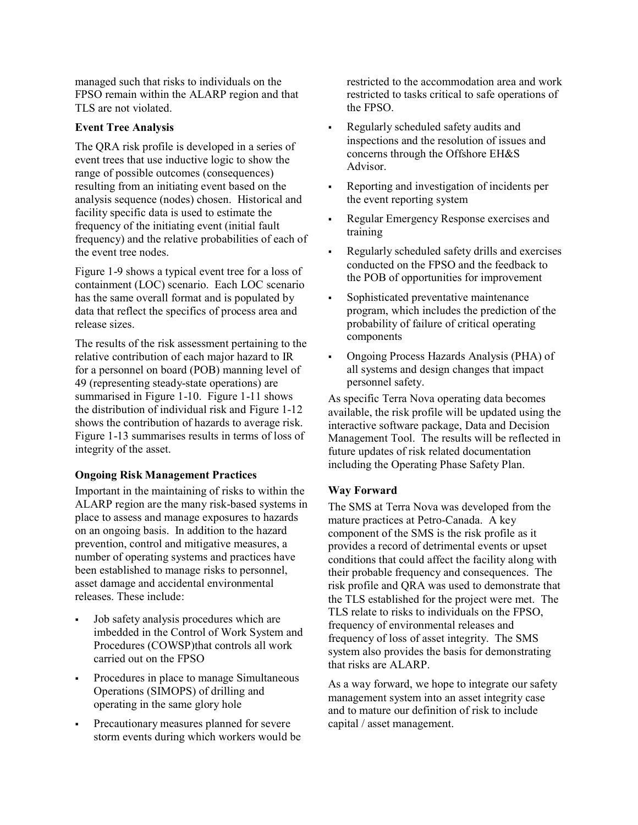managed such that risks to individuals on the FPSO remain within the ALARP region and that TLS are not violated.

#### **Event Tree Analysis**

The QRA risk profile is developed in a series of event trees that use inductive logic to show the range of possible outcomes (consequences) resulting from an initiating event based on the analysis sequence (nodes) chosen. Historical and facility specific data is used to estimate the frequency of the initiating event (initial fault frequency) and the relative probabilities of each of the event tree nodes.

Figure 1-9 shows a typical event tree for a loss of containment (LOC) scenario. Each LOC scenario has the same overall format and is populated by data that reflect the specifics of process area and release sizes.

The results of the risk assessment pertaining to the relative contribution of each major hazard to IR for a personnel on board (POB) manning level of 49 (representing steady-state operations) are summarised in Figure 1-10. Figure 1-11 shows the distribution of individual risk and Figure 1-12 shows the contribution of hazards to average risk. Figure 1-13 summarises results in terms of loss of integrity of the asset.

#### **Ongoing Risk Management Practices**

Important in the maintaining of risks to within the ALARP region are the many risk-based systems in place to assess and manage exposures to hazards on an ongoing basis. In addition to the hazard prevention, control and mitigative measures, a number of operating systems and practices have been established to manage risks to personnel, asset damage and accidental environmental releases. These include:

- Job safety analysis procedures which are imbedded in the Control of Work System and Procedures (COWSP)that controls all work carried out on the FPSO
- Procedures in place to manage Simultaneous Operations (SIMOPS) of drilling and operating in the same glory hole
- Precautionary measures planned for severe storm events during which workers would be

restricted to the accommodation area and work restricted to tasks critical to safe operations of the FPSO.

- Regularly scheduled safety audits and inspections and the resolution of issues and concerns through the Offshore EH&S Advisor.
- Reporting and investigation of incidents per the event reporting system
- Regular Emergency Response exercises and training
- Regularly scheduled safety drills and exercises conducted on the FPSO and the feedback to the POB of opportunities for improvement
- Sophisticated preventative maintenance program, which includes the prediction of the probability of failure of critical operating components
- Ongoing Process Hazards Analysis (PHA) of all systems and design changes that impact personnel safety.

As specific Terra Nova operating data becomes available, the risk profile will be updated using the interactive software package, Data and Decision Management Tool. The results will be reflected in future updates of risk related documentation including the Operating Phase Safety Plan.

#### **Way Forward**

The SMS at Terra Nova was developed from the mature practices at Petro-Canada. A key component of the SMS is the risk profile as it provides a record of detrimental events or upset conditions that could affect the facility along with their probable frequency and consequences. The risk profile and QRA was used to demonstrate that the TLS established for the project were met. The TLS relate to risks to individuals on the FPSO, frequency of environmental releases and frequency of loss of asset integrity. The SMS system also provides the basis for demonstrating that risks are ALARP.

As a way forward, we hope to integrate our safety management system into an asset integrity case and to mature our definition of risk to include capital / asset management.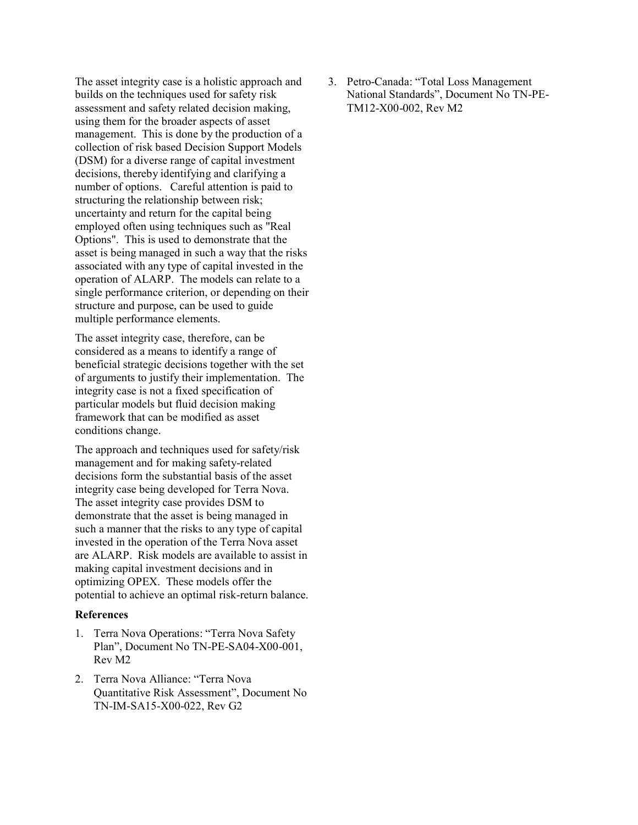The asset integrity case is a holistic approach and builds on the techniques used for safety risk assessment and safety related decision making, using them for the broader aspects of asset management. This is done by the production of a collection of risk based Decision Support Models (DSM) for a diverse range of capital investment decisions, thereby identifying and clarifying a number of options. Careful attention is paid to structuring the relationship between risk; uncertainty and return for the capital being employed often using techniques such as "Real Options". This is used to demonstrate that the asset is being managed in such a way that the risks associated with any type of capital invested in the operation of ALARP. The models can relate to a single performance criterion, or depending on their structure and purpose, can be used to guide multiple performance elements.

The asset integrity case, therefore, can be considered as a means to identify a range of beneficial strategic decisions together with the set of arguments to justify their implementation. The integrity case is not a fixed specification of particular models but fluid decision making framework that can be modified as asset conditions change.

The approach and techniques used for safety/risk management and for making safety-related decisions form the substantial basis of the asset integrity case being developed for Terra Nova. The asset integrity case provides DSM to demonstrate that the asset is being managed in such a manner that the risks to any type of capital invested in the operation of the Terra Nova asset are ALARP. Risk models are available to assist in making capital investment decisions and in optimizing OPEX. These models offer the potential to achieve an optimal risk-return balance.

#### **References**

- 1. Terra Nova Operations: "Terra Nova Safety Plan", Document No TN-PE-SA04-X00-001, Rev M2
- 2. Terra Nova Alliance: "Terra Nova Quantitative Risk Assessment", Document No TN-IM-SA15-X00-022, Rev G2

3. Petro-Canada: "Total Loss Management National Standards", Document No TN-PE-TM12-X00-002, Rev M2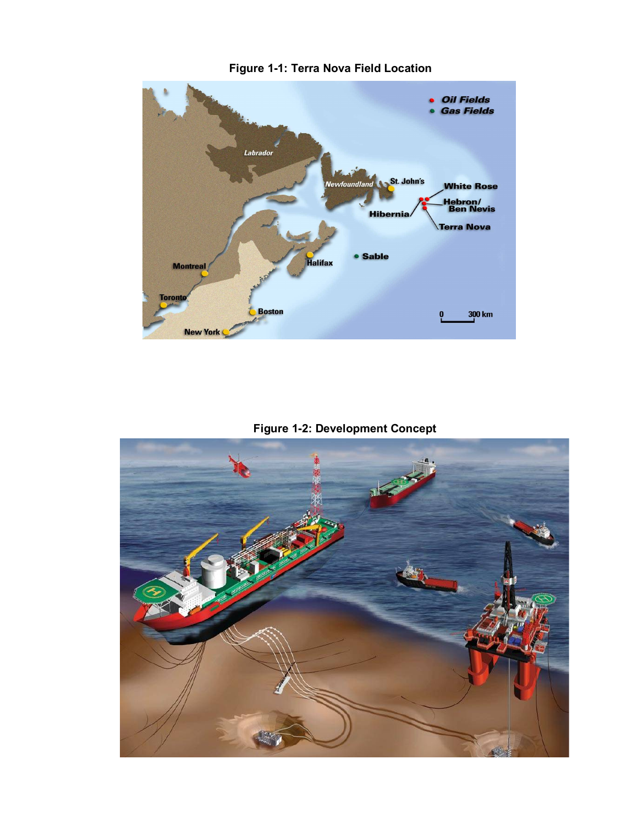# · Oil Fields **Gas Fields** Labrador Newfoundland St. John's **White Rose Hebron/**<br>Ben Nevis **Hibernia Terra Nova** · Sable **Halifax Montreal Toronto**  $300 \text{ km}$ **Boston**  $\dot{\mathbf{0}}$ **New York**

**Figure 1-1: Terra Nova Field Location**

**Figure 1-2: Development Concept**

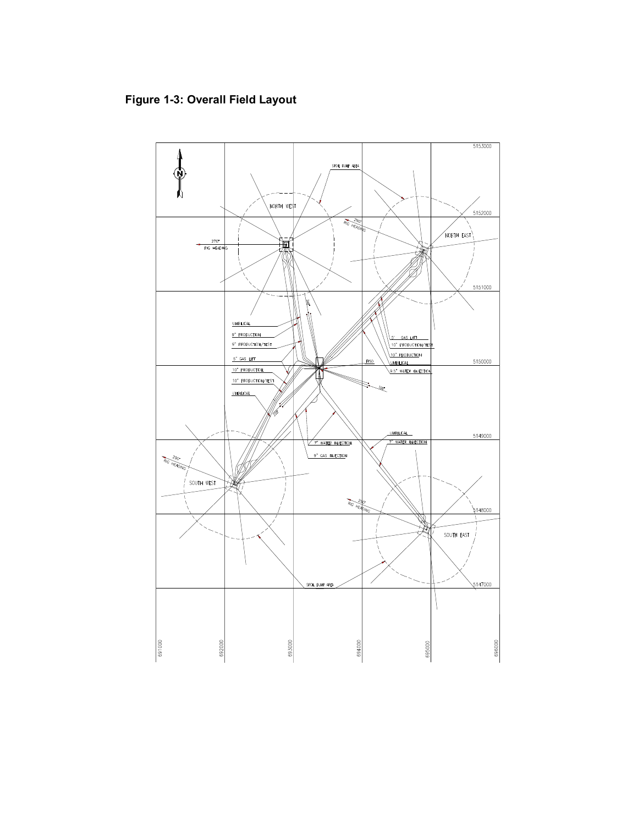# **Figure 1-3: Overall Field Layout**

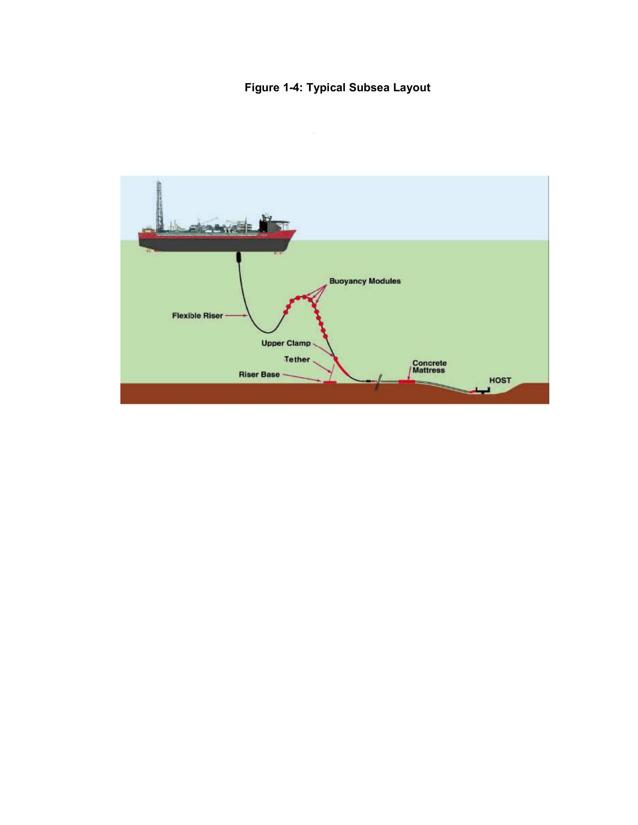# **Figure 1-4: Typical Subsea Layout**

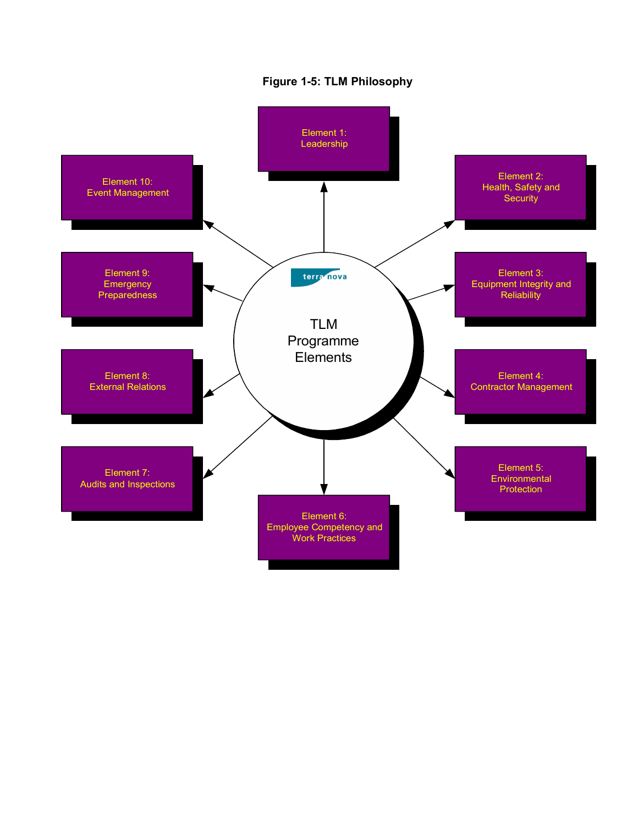

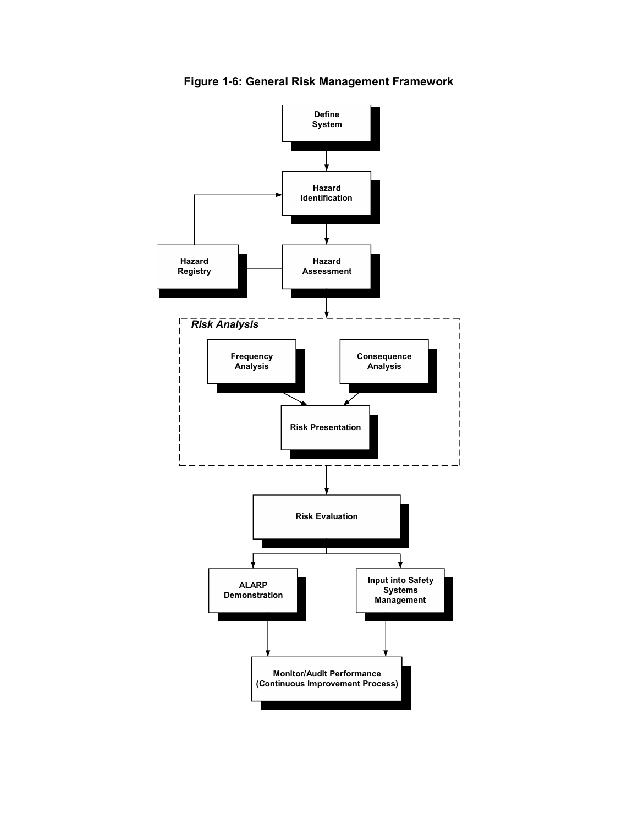

**Figure 1-6: General Risk Management Framework**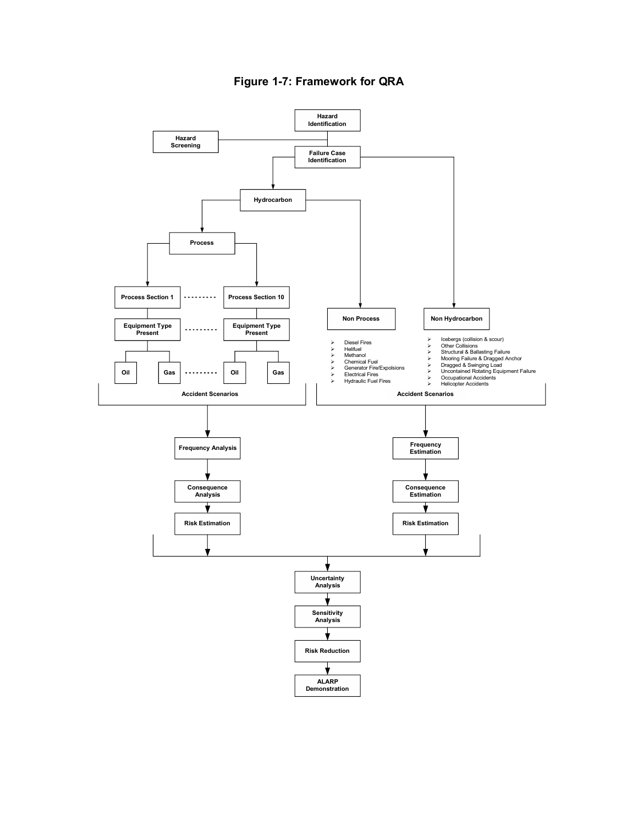

# **Figure 1-7: Framework for QRA**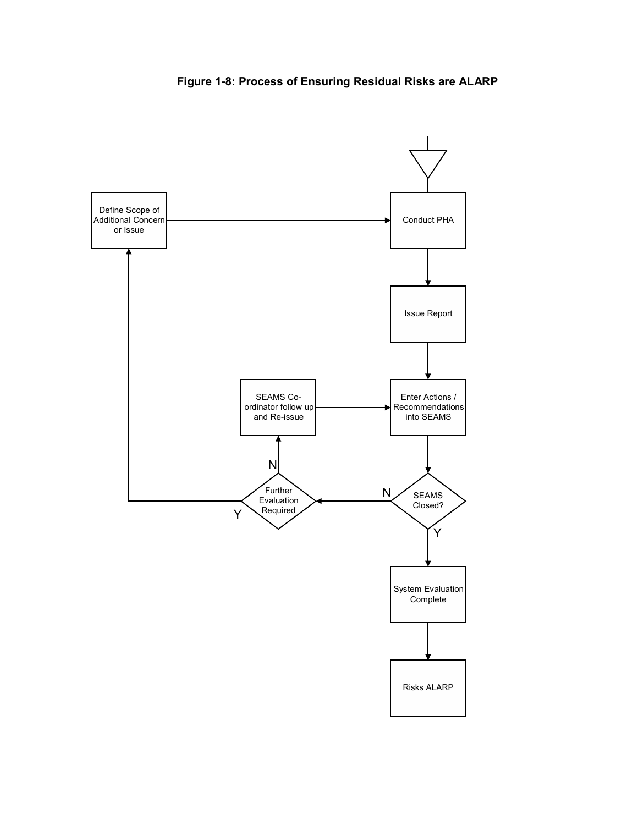

**Figure 1-8: Process of Ensuring Residual Risks are ALARP**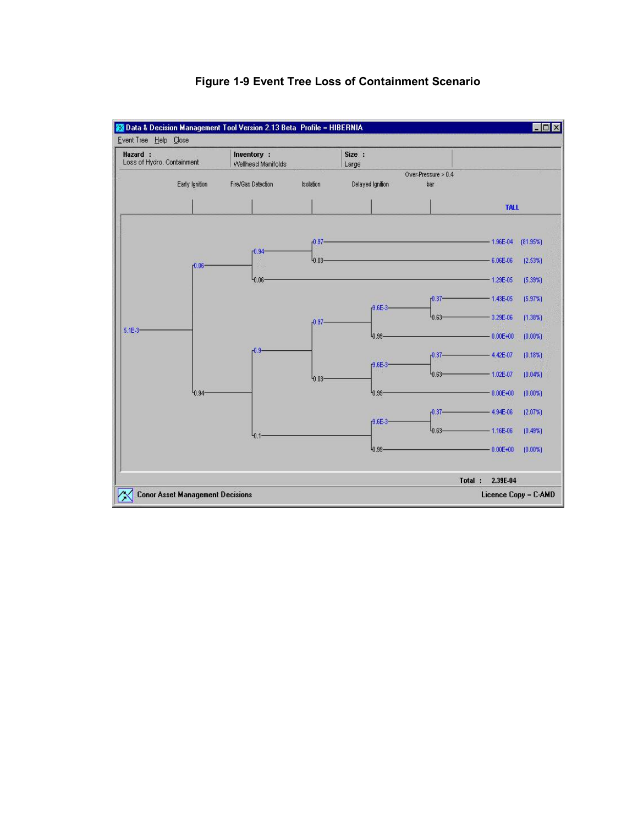

# **Figure 1-9 Event Tree Loss of Containment Scenario**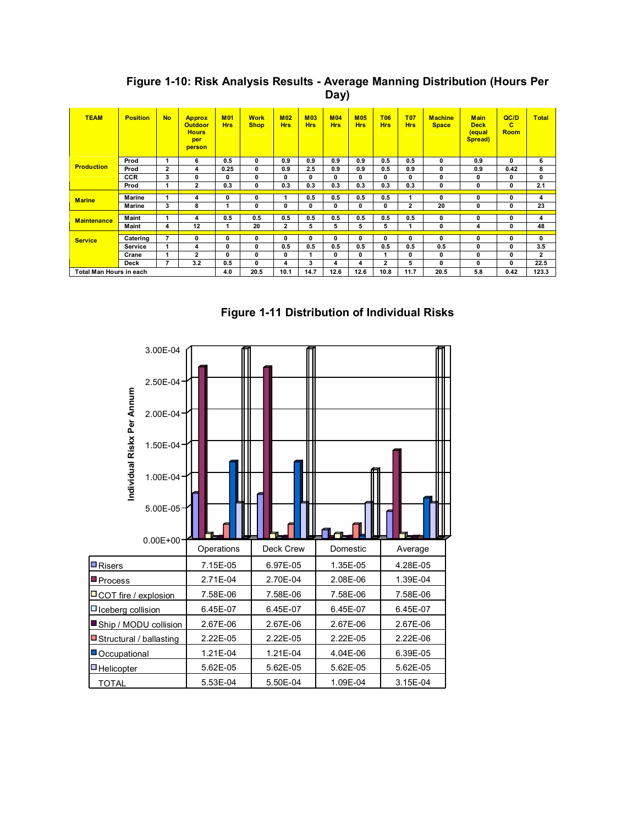| <b>TEAM</b>             | <b>Position</b> | <b>No</b>      | <b>Approx</b><br><b>Outdoor</b><br><b>Hours</b><br>per<br>person | <b>M01</b><br><b>Hrs</b> | <b>Work</b><br><b>Shop</b> | <b>M02</b><br><b>Hrs</b> | <b>M03</b><br><b>Hrs</b> | <b>M04</b><br><b>Hrs</b> | <b>M05</b><br><b>Hrs</b> | <b>T06</b><br><b>Hrs</b> | <b>T07</b><br><b>Hrs</b> | <b>Machine</b><br><b>Space</b> | <b>Main</b><br><b>Deck</b><br>equal<br>Spread) | QCD<br>с<br><b>Room</b> | Total          |
|-------------------------|-----------------|----------------|------------------------------------------------------------------|--------------------------|----------------------------|--------------------------|--------------------------|--------------------------|--------------------------|--------------------------|--------------------------|--------------------------------|------------------------------------------------|-------------------------|----------------|
| <b>Production</b>       | Prod            | 1              | 6                                                                | 0.5                      | 0                          | 0.9                      | 0.9                      | 0.9                      | 0.9                      | 0.5                      | 0.5                      | 0                              | 0.9                                            | 0                       | 6              |
|                         | Prod            | $\mathbf{2}$   | 4                                                                | 0.25                     | 0                          | 0.9                      | 2.5                      | 0.9                      | 0.9                      | 0.5                      | 0.9                      | 0                              | 0.9                                            | 0.42                    | 8              |
|                         | <b>CCR</b>      | 3              | 0                                                                | 0                        | 0                          | 0                        | 0                        | 0                        | 0                        | 0                        | 0                        | 0                              | 0                                              | 0                       | 0              |
|                         | Prod            |                | $\mathbf{2}$                                                     | 0.3                      | 0                          | 0.3                      | 0.3                      | 0.3                      | 0.3                      | 0.3                      | 0.3                      | 0                              | 0                                              | 0                       | 2.1            |
| <b>Marine</b>           | Marine          |                | 4                                                                | 0                        | 0                          |                          | 0.5                      | 0.5                      | 0.5                      | 0.5                      | 1                        | 0                              | 0                                              | 0                       | 4              |
|                         | Marine          | 3              | 8                                                                | 1                        | 0                          | 0                        | 0                        | 0                        | 0                        | 0                        | $\overline{\mathbf{c}}$  | 20                             | 0                                              | 0                       | 23             |
| <b>Maintenance</b>      |                 |                |                                                                  |                          |                            |                          |                          |                          |                          |                          |                          |                                |                                                |                         |                |
|                         | Maint           |                | 4                                                                | 0.5                      | 0.5                        | 0.5                      | 0.5                      | 0.5                      | 0.5                      | 0.5                      | 0.5                      | 0                              | 0                                              | 0                       | 4              |
|                         | Maint           | 4              | 12                                                               | 1                        | 20                         | $\mathbf{2}$             | 5                        | 5                        | 5                        | 5                        | 1                        | 0                              | 4                                              | 0                       | 48             |
| <b>Service</b>          | Catering        | $\overline{7}$ | 0                                                                | 0                        | 0                          | 0                        | 0                        | 0                        | 0                        | 0                        | 0                        | 0                              | 0                                              | 0                       | 0              |
|                         | Service         |                | 4                                                                | 0                        | 0                          | 0.5                      | 0.5                      | 0.5                      | 0.5                      | 0.5                      | 0.5                      | 0.5                            | 0                                              | 0                       | 3.5            |
|                         | Crane           |                | $\overline{2}$                                                   | 0                        | 0                          | 0                        |                          | 0                        | 0                        |                          | 0                        | 0                              | 0                                              | 0                       | $\overline{2}$ |
|                         | <b>Deck</b>     | $\overline{7}$ | 3.2                                                              | 0.5                      | 0                          | 4                        | 3                        | 4                        | 4                        | $\overline{2}$           | 5                        | 0                              | 0                                              | 0                       | 22.5           |
| Total Man Hours in each |                 |                |                                                                  | 4.0                      | 20.5                       | 10.1                     | 14.7                     | 12.6                     | 12.6                     | 10.8                     | 11.7                     | 20.5                           | 5.8                                            | 0.42                    | 123.3          |

**Figure 1-10: Risk Analysis Results - Average Manning Distribution (Hours Per Day)**

**Figure 1-11 Distribution of Individual Risks**